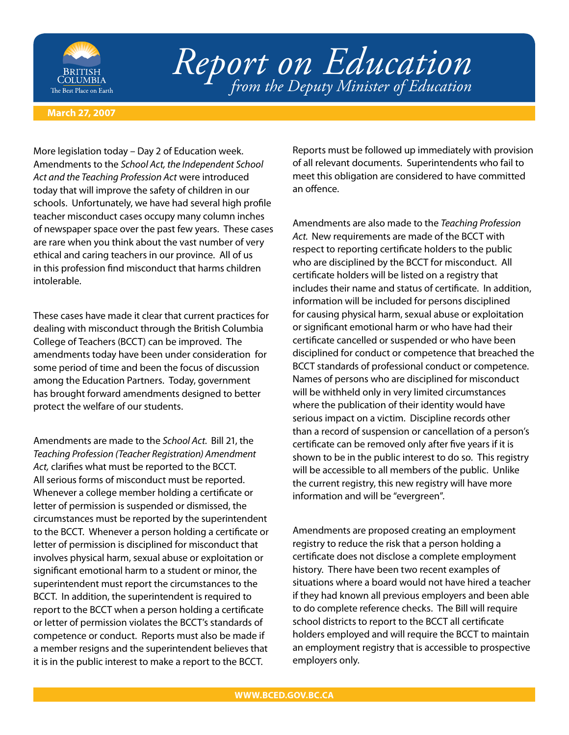

## *Report on Education from the Deputy Minister of Education*

## **March 27, 2007**

More legislation today – Day 2 of Education week. Amendments to the *School Act, the Independent School Act and the Teaching Profession Act* were introduced today that will improve the safety of children in our schools. Unfortunately, we have had several high profile teacher misconduct cases occupy many column inches of newspaper space over the past few years. These cases are rare when you think about the vast number of very ethical and caring teachers in our province. All of us in this profession find misconduct that harms children intolerable.

These cases have made it clear that current practices for dealing with misconduct through the British Columbia College of Teachers (BCCT) can be improved. The amendments today have been under consideration for some period of time and been the focus of discussion among the Education Partners. Today, government has brought forward amendments designed to better protect the welfare of our students.

Amendments are made to the *School Act.* Bill 21, the *Teaching Profession (Teacher Registration) Amendment Act,* clarifies what must be reported to the BCCT. All serious forms of misconduct must be reported. Whenever a college member holding a certificate or letter of permission is suspended or dismissed, the circumstances must be reported by the superintendent to the BCCT. Whenever a person holding a certificate or letter of permission is disciplined for misconduct that involves physical harm, sexual abuse or exploitation or significant emotional harm to a student or minor, the superintendent must report the circumstances to the BCCT. In addition, the superintendent is required to report to the BCCT when a person holding a certificate or letter of permission violates the BCCT's standards of competence or conduct. Reports must also be made if a member resigns and the superintendent believes that it is in the public interest to make a report to the BCCT.

Reports must be followed up immediately with provision of all relevant documents. Superintendents who fail to meet this obligation are considered to have committed an offence.

Amendments are also made to the *Teaching Profession Act.* New requirements are made of the BCCT with respect to reporting certificate holders to the public who are disciplined by the BCCT for misconduct. All certificate holders will be listed on a registry that includes their name and status of certificate. In addition, information will be included for persons disciplined for causing physical harm, sexual abuse or exploitation or significant emotional harm or who have had their certificate cancelled or suspended or who have been disciplined for conduct or competence that breached the BCCT standards of professional conduct or competence. Names of persons who are disciplined for misconduct will be withheld only in very limited circumstances where the publication of their identity would have serious impact on a victim. Discipline records other than a record of suspension or cancellation of a person's certificate can be removed only after five years if it is shown to be in the public interest to do so. This registry will be accessible to all members of the public. Unlike the current registry, this new registry will have more information and will be "evergreen".

Amendments are proposed creating an employment registry to reduce the risk that a person holding a certificate does not disclose a complete employment history. There have been two recent examples of situations where a board would not have hired a teacher if they had known all previous employers and been able to do complete reference checks. The Bill will require school districts to report to the BCCT all certificate holders employed and will require the BCCT to maintain an employment registry that is accessible to prospective employers only.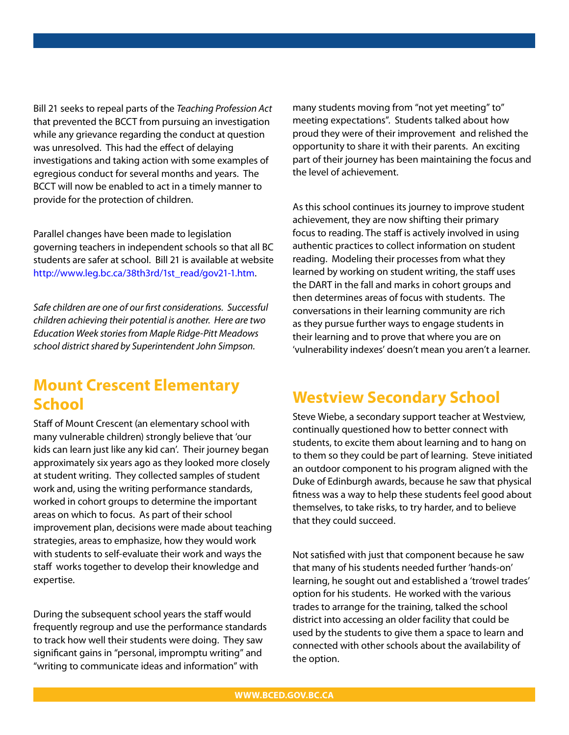Bill 21 seeks to repeal parts of the *Teaching Profession Act* that prevented the BCCT from pursuing an investigation while any grievance regarding the conduct at question was unresolved. This had the effect of delaying investigations and taking action with some examples of egregious conduct for several months and years. The BCCT will now be enabled to act in a timely manner to provide for the protection of children.

Parallel changes have been made to legislation governing teachers in independent schools so that all BC students are safer at school. Bill 21 is available at website [http://www.leg.bc.ca/38th3rd/1st\\_read/gov21-1.htm](http://www.leg.bc.ca/38th3rd/1st_read/gov21-1.htm).

*Safe children are one of our first considerations. Successful children achieving their potential is another. Here are two Education Week stories from Maple Ridge-Pitt Meadows school district shared by Superintendent John Simpson.*

## **Mount Crescent Elementary School**

Staff of Mount Crescent (an elementary school with many vulnerable children) strongly believe that 'our kids can learn just like any kid can'. Their journey began approximately six years ago as they looked more closely at student writing. They collected samples of student work and, using the writing performance standards, worked in cohort groups to determine the important areas on which to focus. As part of their school improvement plan, decisions were made about teaching strategies, areas to emphasize, how they would work with students to self-evaluate their work and ways the staff works together to develop their knowledge and expertise.

During the subsequent school years the staff would frequently regroup and use the performance standards to track how well their students were doing. They saw significant gains in "personal, impromptu writing" and "writing to communicate ideas and information" with

many students moving from "not yet meeting" to" meeting expectations". Students talked about how proud they were of their improvement and relished the opportunity to share it with their parents. An exciting part of their journey has been maintaining the focus and the level of achievement.

As this school continues its journey to improve student achievement, they are now shifting their primary focus to reading. The staff is actively involved in using authentic practices to collect information on student reading. Modeling their processes from what they learned by working on student writing, the staff uses the DART in the fall and marks in cohort groups and then determines areas of focus with students. The conversations in their learning community are rich as they pursue further ways to engage students in their learning and to prove that where you are on 'vulnerability indexes' doesn't mean you aren't a learner.

## **Westview Secondary School**

Steve Wiebe, a secondary support teacher at Westview, continually questioned how to better connect with students, to excite them about learning and to hang on to them so they could be part of learning. Steve initiated an outdoor component to his program aligned with the Duke of Edinburgh awards, because he saw that physical fitness was a way to help these students feel good about themselves, to take risks, to try harder, and to believe that they could succeed.

Not satisfied with just that component because he saw that many of his students needed further 'hands-on' learning, he sought out and established a 'trowel trades' option for his students. He worked with the various trades to arrange for the training, talked the school district into accessing an older facility that could be used by the students to give them a space to learn and connected with other schools about the availability of the option.